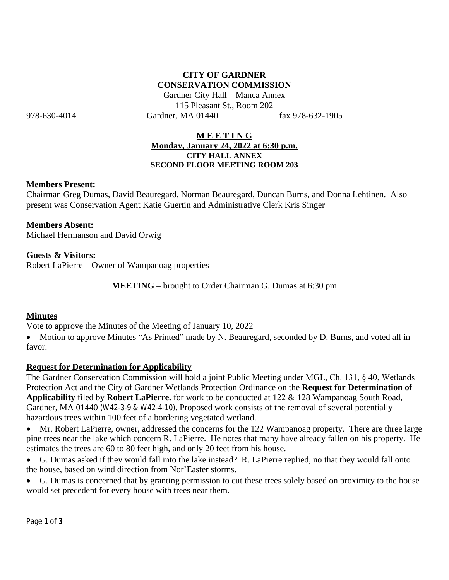# **CITY OF GARDNER CONSERVATION COMMISSION**

Gardner City Hall – Manca Annex 115 Pleasant St., Room 202 978-630-4014 Gardner, MA 01440 fax 978-632-1905

## **M E E T I N G Monday, January 24, 2022 at 6:30 p.m. CITY HALL ANNEX SECOND FLOOR MEETING ROOM 203**

#### **Members Present:**

Chairman Greg Dumas, David Beauregard, Norman Beauregard, Duncan Burns, and Donna Lehtinen. Also present was Conservation Agent Katie Guertin and Administrative Clerk Kris Singer

## **Members Absent:**

Michael Hermanson and David Orwig

## **Guests & Visitors:**

Robert LaPierre – Owner of Wampanoag properties

**MEETING** – brought to Order Chairman G. Dumas at 6:30 pm

## **Minutes**

Vote to approve the Minutes of the Meeting of January 10, 2022

• Motion to approve Minutes "As Printed" made by N. Beauregard, seconded by D. Burns, and voted all in favor.

## **Request for Determination for Applicability**

The Gardner Conservation Commission will hold a joint Public Meeting under MGL, Ch. 131, § 40, Wetlands Protection Act and the City of Gardner Wetlands Protection Ordinance on the **Request for Determination of Applicability** filed by **Robert LaPierre.** for work to be conducted at 122 & 128 Wampanoag South Road, Gardner, MA 01440 (W42-3-9 & W42-4-10). Proposed work consists of the removal of several potentially hazardous trees within 100 feet of a bordering vegetated wetland.

• Mr. Robert LaPierre, owner, addressed the concerns for the 122 Wampanoag property. There are three large pine trees near the lake which concern R. LaPierre. He notes that many have already fallen on his property. He estimates the trees are 60 to 80 feet high, and only 20 feet from his house.

 G. Dumas asked if they would fall into the lake instead? R. LaPierre replied, no that they would fall onto the house, based on wind direction from Nor'Easter storms.

 G. Dumas is concerned that by granting permission to cut these trees solely based on proximity to the house would set precedent for every house with trees near them.

Page **1** of **3**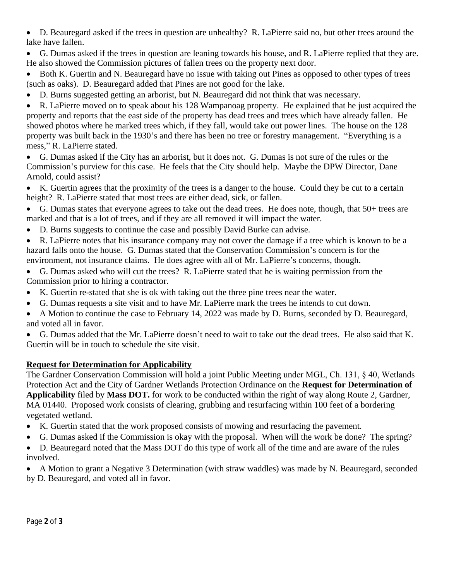D. Beauregard asked if the trees in question are unhealthy? R. LaPierre said no, but other trees around the lake have fallen.

 G. Dumas asked if the trees in question are leaning towards his house, and R. LaPierre replied that they are. He also showed the Commission pictures of fallen trees on the property next door.

• Both K. Guertin and N. Beauregard have no issue with taking out Pines as opposed to other types of trees (such as oaks). D. Beauregard added that Pines are not good for the lake.

D. Burns suggested getting an arborist, but N. Beauregard did not think that was necessary.

 R. LaPierre moved on to speak about his 128 Wampanoag property. He explained that he just acquired the property and reports that the east side of the property has dead trees and trees which have already fallen. He showed photos where he marked trees which, if they fall, would take out power lines. The house on the 128 property was built back in the 1930's and there has been no tree or forestry management. "Everything is a mess," R. LaPierre stated.

 G. Dumas asked if the City has an arborist, but it does not. G. Dumas is not sure of the rules or the Commission's purview for this case. He feels that the City should help. Maybe the DPW Director, Dane Arnold, could assist?

 K. Guertin agrees that the proximity of the trees is a danger to the house. Could they be cut to a certain height? R. LaPierre stated that most trees are either dead, sick, or fallen.

- G. Dumas states that everyone agrees to take out the dead trees. He does note, though, that 50+ trees are marked and that is a lot of trees, and if they are all removed it will impact the water.
- D. Burns suggests to continue the case and possibly David Burke can advise.
- R. LaPierre notes that his insurance company may not cover the damage if a tree which is known to be a hazard falls onto the house. G. Dumas stated that the Conservation Commission's concern is for the

environment, not insurance claims. He does agree with all of Mr. LaPierre's concerns, though.

- G. Dumas asked who will cut the trees? R. LaPierre stated that he is waiting permission from the Commission prior to hiring a contractor.
- K. Guertin re-stated that she is ok with taking out the three pine trees near the water.
- G. Dumas requests a site visit and to have Mr. LaPierre mark the trees he intends to cut down.
- A Motion to continue the case to February 14, 2022 was made by D. Burns, seconded by D. Beauregard, and voted all in favor.

 G. Dumas added that the Mr. LaPierre doesn't need to wait to take out the dead trees. He also said that K. Guertin will be in touch to schedule the site visit.

# **Request for Determination for Applicability**

The Gardner Conservation Commission will hold a joint Public Meeting under MGL, Ch. 131, § 40, Wetlands Protection Act and the City of Gardner Wetlands Protection Ordinance on the **Request for Determination of Applicability** filed by **Mass DOT.** for work to be conducted within the right of way along Route 2, Gardner, MA 01440. Proposed work consists of clearing, grubbing and resurfacing within 100 feet of a bordering vegetated wetland.

- K. Guertin stated that the work proposed consists of mowing and resurfacing the pavement.
- G. Dumas asked if the Commission is okay with the proposal. When will the work be done? The spring?
- D. Beauregard noted that the Mass DOT do this type of work all of the time and are aware of the rules involved.

 A Motion to grant a Negative 3 Determination (with straw waddles) was made by N. Beauregard, seconded by D. Beauregard, and voted all in favor.